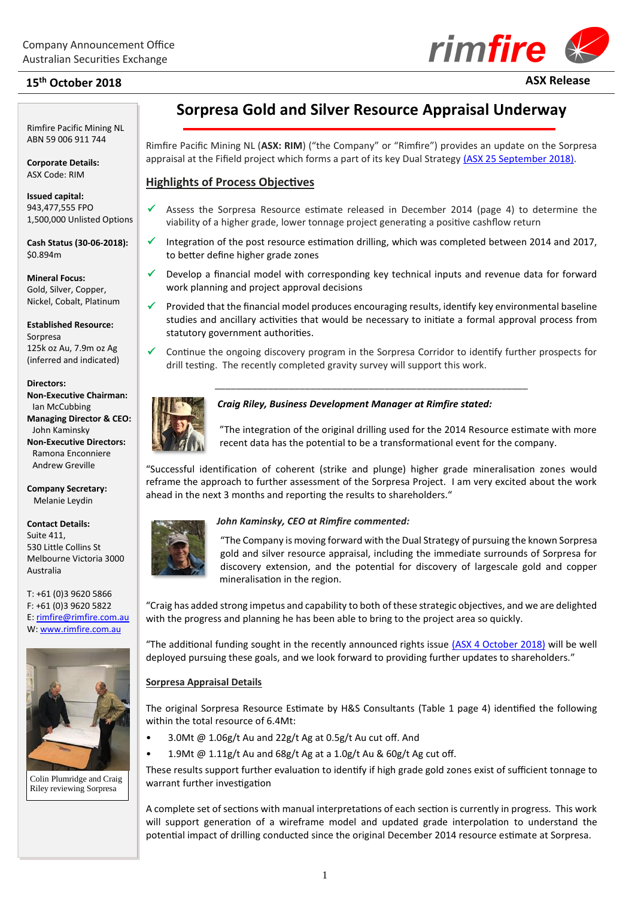# **15th October 2018 ASX Release**

Rimfire Pacific Mining NL ABN 59 006 911 744

**Corporate Details:** ASX Code: RIM

**2018**

**Issued capital:** 943,477,555 FPO 1,500,000 Unlisted Options

**Cash Status (30-06-2018):** \$0.894m

**Mineral Focus:** Gold, Silver, Copper, Nickel, Cobalt, Platinum

**Established Resource:** Sorpresa 125k oz Au, 7.9m oz Ag (inferred and indicated)

#### **Directors:**

**Non-Executive Chairman:** Ian McCubbing **Managing Director & CEO:** John Kaminsky **Non-Executive Directors:** Ramona Enconniere Andrew Greville

**Company Secretary:** Melanie Leydin

**Contact Details:** Suite 411, 530 Little Collins St Melbourne Victoria 3000 Australia

T: +61 (0)3 9620 5866 F: +61 (0)3 9620 5822 E[: rimfire@rimfire.com.au](mailto:rimfire@rimfire.com.au) W: [www.rimfire.com.au](http://www.rimfire.com.au/)



Colin Plumridge and Craig Riley reviewing Sorpresa

## **Sorpresa Gold and Silver Resource Appraisal Underway**

Rimfire Pacific Mining NL (**ASX: RIM**) ("the Company" or "Rimfire") provides an update on the Sorpresa appraisal at the Fifield project which forms a part of its key Dual Strategy [\(ASX 25 September 2018\).](http://www.rimfire.com.au/irm/PDF/2286_0/DualStrategySorpresaAppraisalandRegionalDiscovery)

## **Highlights of Process Objectives**

- Assess the Sorpresa Resource estimate released in December 2014 (page 4) to determine the viability of a higher grade, lower tonnage project generating a positive cashflow return
- $\checkmark$  Integration of the post resource estimation drilling, which was completed between 2014 and 2017, to better define higher grade zones
- ✓ Develop a financial model with corresponding key technical inputs and revenue data for forward work planning and project approval decisions
- $\checkmark$  Provided that the financial model produces encouraging results, identify key environmental baseline studies and ancillary activities that would be necessary to initiate a formal approval process from statutory government authorities.
- ✓ Continue the ongoing discovery program in the Sorpresa Corridor to identify further prospects for drill testing. The recently completed gravity survey will support this work.

\_\_\_\_\_\_\_\_\_\_\_\_\_\_\_\_\_\_\_\_\_\_\_\_\_\_\_\_\_\_\_\_\_\_\_\_\_\_\_\_\_\_\_\_\_\_\_\_\_\_\_\_\_\_\_\_\_\_\_



## *Craig Riley, Business Development Manager at Rimfire stated:*



"The integration of the original drilling used for the 2014 Resource estimate with more recent data has the potential to be a transformational event for the company.

"Successful identification of coherent (strike and plunge) higher grade mineralisation zones would reframe the approach to further assessment of the Sorpresa Project. I am very excited about the work ahead in the next 3 months and reporting the results to shareholders."



## *John Kaminsky, CEO at Rimfire commented:*

"The Company is moving forward with the Dual Strategy of pursuing the known Sorpresa gold and silver resource appraisal, including the immediate surrounds of Sorpresa for discovery extension, and the potential for discovery of largescale gold and copper mineralisation in the region.

"Craig has added strong impetus and capability to both of these strategic objectives, and we are delighted with the progress and planning he has been able to bring to the project area so quickly.

"The additional funding sought in the recently announced rights issue [\(ASX 4 October 2018\)](http://www.rimfire.com.au/irm/PDF/2307_0/NonRenounceableRightsIssuetoraiseupto21m) will be well deployed pursuing these goals, and we look forward to providing further updates to shareholders."

## **Sorpresa Appraisal Details**

The original Sorpresa Resource Estimate by H&S Consultants (Table 1 page 4) identified the following within the total resource of 6.4Mt:

- 3.0Mt @ 1.06g/t Au and 22g/t Ag at 0.5g/t Au cut off. And
	- 1.9Mt @ 1.11g/t Au and 68g/t Ag at a 1.0g/t Au & 60g/t Ag cut off.

These results support further evaluation to identify if high grade gold zones exist of sufficient tonnage to warrant further investigation

A complete set of sections with manual interpretations of each section is currently in progress. This work will support generation of a wireframe model and updated grade interpolation to understand the potential impact of drilling conducted since the original December 2014 resource estimate at Sorpresa.



1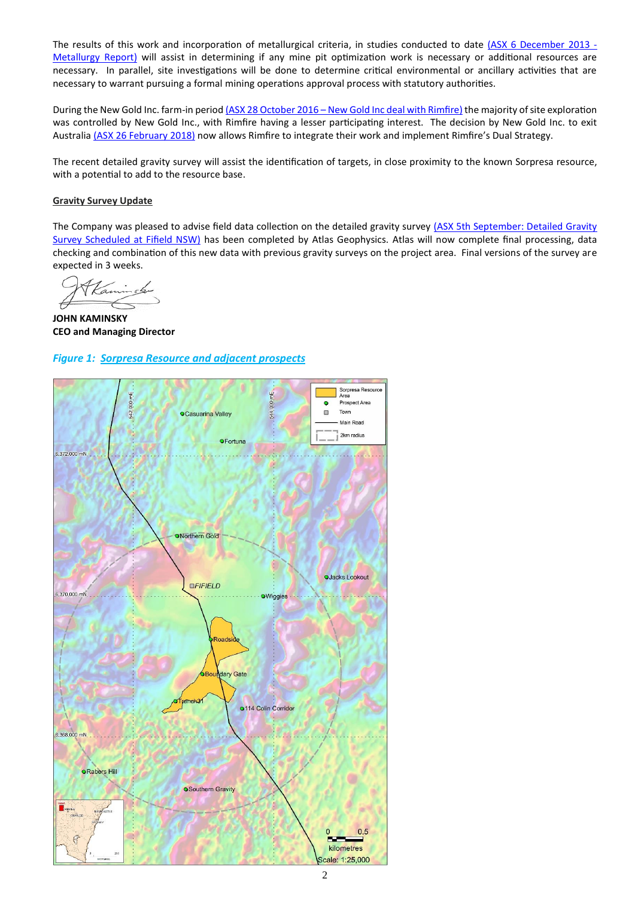The results of this work and incorporation of metallurgical criteria, in studies conducted to date (ASX [6 December 2013](http://www.rimfire.com.au/irm/PDF/1145_0/ExcellentPreliminaryMetallurgyResultsatSorpresa) - [Metallurgy Report\)](http://www.rimfire.com.au/irm/PDF/1145_0/ExcellentPreliminaryMetallurgyResultsatSorpresa) will assist in determining if any mine pit optimization work is necessary or additional resources are necessary. In parallel, site investigations will be done to determine critical environmental or ancillary activities that are necessary to warrant pursuing a formal mining operations approval process with statutory authorities.

During the New Gold Inc. farm-in period (ASX 28 October 2016 - [New Gold Inc deal with Rimfire\)](http://www.rimfire.com.au/irm/PDF/1895_0/RimfireEntersSignificantTransactionwithNewGoldInc) the majority of site exploration was controlled by New Gold Inc., with Rimfire having a lesser participating interest. The decision by New Gold Inc. to exit Australia [\(ASX 26 February](http://www.rimfire.com.au/irm/PDF/2180_0/NewGoldIncCompletesStrategicWithdrawalfromAustralia) 2018) now allows Rimfire to integrate their work and implement Rimfire's Dual Strategy.

The recent detailed gravity survey will assist the identification of targets, in close proximity to the known Sorpresa resource, with a potential to add to the resource base.

#### **Gravity Survey Update**

The Company was pleased to advise field data collection on the detailed gravity survey (ASX 5th September: Detailed Gravity [Survey Scheduled at Fifield NSW\)](http://www.rimfire.com.au/irm/PDF/2276_0/GravitySurveyforGoldCopperDiscoveryTargetingFifield) has been completed by Atlas Geophysics. Atlas will now complete final processing, data checking and combination of this new data with previous gravity surveys on the project area. Final versions of the survey are expected in 3 weeks.

**JOHN KAMINSKY CEO and Managing Director**

#### *Figure 1: Sorpresa Resource and adjacent prospects*

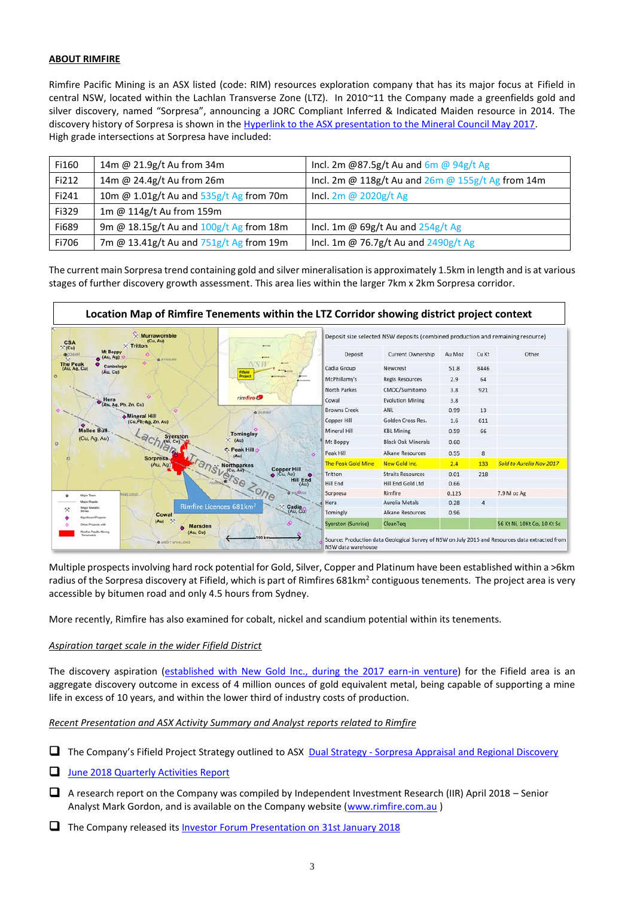#### **ABOUT RIMFIRE**

Rimfire Pacific Mining is an ASX listed (code: RIM) resources exploration company that has its major focus at Fifield in central NSW, located within the Lachlan Transverse Zone (LTZ). In 2010~11 the Company made a greenfields gold and silver discovery, named "Sorpresa", announcing a JORC Compliant Inferred & Indicated Maiden resource in 2014. The discovery history of Sorpresa is shown in the [Hyperlink to the ASX presentation to the Mineral Council May 2017.](http://www.rimfire.com.au/irm/PDF/2074_0/NSWMineralsCouncilExplorationForumTheRocksandBeyondSorpresaDiscoveryCaseStudy) High grade intersections at Sorpresa have included:

| Fi160 | 14m @ 21.9g/t Au from 34m               | Incl. 2m @87.5g/t Au and $6m$ @ 94g/t Ag          |
|-------|-----------------------------------------|---------------------------------------------------|
| Fi212 | 14m @ 24.4g/t Au from 26m               | Incl. 2m @ 118g/t Au and 26m @ 155g/t Ag from 14m |
| Fi241 | 10m @ 1.01g/t Au and 535g/t Ag from 70m | Incl. 2m @ 2020g/t Ag                             |
| Fi329 | 1m @ 114g/t Au from 159m                |                                                   |
| Fi689 | 9m @ 18.15g/t Au and 100g/t Ag from 18m | Incl. 1m @ $69g/t$ Au and $254g/t$ Ag             |
| Fi706 | 7m @ 13.41g/t Au and 751g/t Ag from 19m | Incl. 1m @ 76.7g/t Au and 2490g/t Ag              |

The current main Sorpresa trend containing gold and silver mineralisation is approximately 1.5km in length and is at various stages of further discovery growth assessment. This area lies within the larger 7km x 2km Sorpresa corridor.



Multiple prospects involving hard rock potential for Gold, Silver, Copper and Platinum have been established within a >6km radius of the Sorpresa discovery at Fifield, which is part of Rimfires 681km<sup>2</sup> contiguous tenements. The project area is very accessible by bitumen road and only 4.5 hours from Sydney.

More recently, Rimfire has also examined for cobalt, nickel and scandium potential within its tenements.

#### *Aspiration target scale in the wider Fifield District*

The discovery aspiration [\(established with New Gold Inc., during the 2017 earn-in venture\)](http://www.rimfire.com.au/irm/PDF/1945_0/StrategyOutlineGeophysicsandRCDrillingComplete) for the Fifield area is an aggregate discovery outcome in excess of 4 million ounces of gold equivalent metal, being capable of supporting a mine life in excess of 10 years, and within the lower third of industry costs of production.

#### *Recent Presentation and ASX Activity Summary and Analyst reports related to Rimfire*

- □ The Company's Fifield Project Strategy outlined to ASX **Dual Strategy [Sorpresa Appraisal and Regional Discovery](http://www.rimfire.com.au/irm/PDF/2286_0/DualStrategySorpresaAppraisalandRegionalDiscovery)**
- □ [June 2018 Quarterly Activities Report](http://www.rimfire.com.au/irm/PDF/2255_0/June2018QuarterlyActivitiesReport)
- ❑ A research report on the Company was compiled by Independent Investment Research (IIR) April 2018 Senior Analyst Mark Gordon, and is available on the Company website [\(www.rimfire.com.au](http://www.rimfire.com.au/))
- □ The Company released its **Investor [Forum Presentation on 31st January 2018](http://www.rimfire.com.au/irm/PDF/2170_0/PresentationtoProactiveInvestorForums)**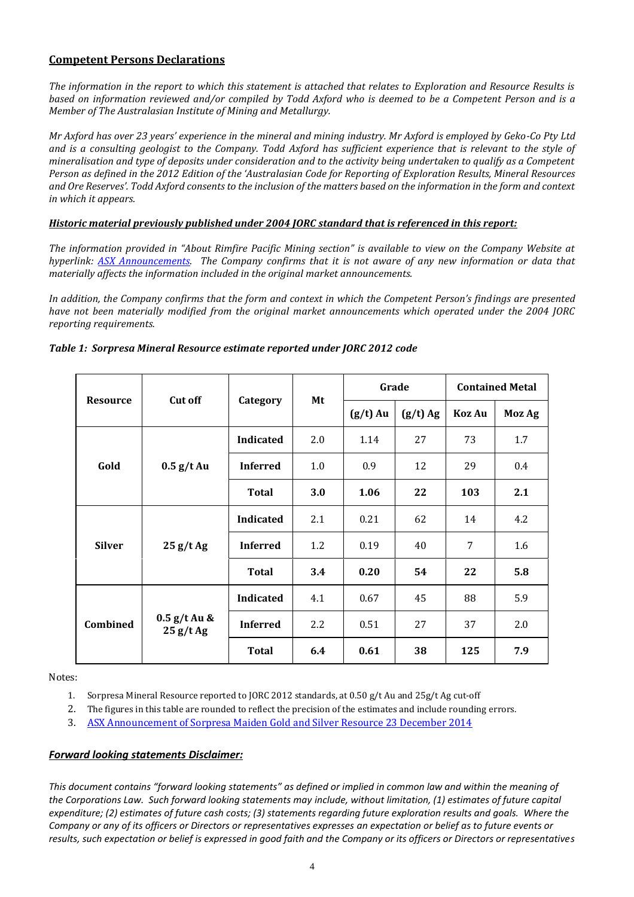## **Competent Persons Declarations**

*The information in the report to which this statement is attached that relates to Exploration and Resource Results is based on information reviewed and/or compiled by Todd Axford who is deemed to be a Competent Person and is a Member of The Australasian Institute of Mining and Metallurgy.* 

*Mr Axford has over 23 years' experience in the mineral and mining industry. Mr Axford is employed by Geko-Co Pty Ltd and is a consulting geologist to the Company. Todd Axford has sufficient experience that is relevant to the style of mineralisation and type of deposits under consideration and to the activity being undertaken to qualify as a Competent Person as defined in the 2012 Edition of the 'Australasian Code for Reporting of Exploration Results, Mineral Resources and Ore Reserves'. Todd Axford consents to the inclusion of the matters based on the information in the form and context in which it appears.* 

#### *Historic material previously published under 2004 JORC standard that is referenced in this report:*

*The information provided in "About Rimfire Pacific Mining section" is available to view on the Company Website at hyperlink: [ASX Announcements.](http://www.rimfire.com.au/asx_announcements.htm) The Company confirms that it is not aware of any new information or data that materially affects the information included in the original market announcements.* 

In addition, the Company confirms that the form and context in which the Competent Person's findings are presented *have not been materially modified from the original market announcements which operated under the 2004 JORC reporting requirements.* 

|                 | <b>Cut off</b>             | Category         | Mt         | Grade      |            | <b>Contained Metal</b> |        |
|-----------------|----------------------------|------------------|------------|------------|------------|------------------------|--------|
| <b>Resource</b> |                            |                  |            | $(g/t)$ Au | $(g/t)$ Ag | Koz Au                 | Moz Ag |
|                 | $0.5$ g/t Au               | <b>Indicated</b> | 2.0        | 1.14       | 27         | 73                     | 1.7    |
| Gold            |                            | <b>Inferred</b>  | 1.0        | 0.9        | 12         | 29                     | 0.4    |
|                 |                            | <b>Total</b>     | <b>3.0</b> | 1.06       | 22         | 103                    | 2.1    |
|                 | 25 g/tAg                   | <b>Indicated</b> | 2.1        | 0.21       | 62         | 14                     | 4.2    |
| <b>Silver</b>   |                            | <b>Inferred</b>  | 1.2        | 0.19       | 40         | 7                      | 1.6    |
|                 |                            | <b>Total</b>     | 3.4        | 0.20       | 54         | 22                     | 5.8    |
|                 | $0.5$ g/t Au &<br>25 g/tAg | Indicated        | 4.1        | 0.67       | 45         | 88                     | 5.9    |
| Combined        |                            | <b>Inferred</b>  | 2.2        | 0.51       | 27         | 37                     | 2.0    |
|                 |                            | <b>Total</b>     | 6.4        | 0.61       | 38         | 125                    | 7.9    |

#### *Table 1: Sorpresa Mineral Resource estimate reported under JORC 2012 code*

Notes:

1. Sorpresa Mineral Resource reported to JORC 2012 standards, at 0.50 g/t Au and 25g/t Ag cut‐off

2. The figures in this table are rounded to reflect the precision of the estimates and include rounding errors.

3. [ASX Announcement of Sorpresa Maiden Gold and Silver Resource](http://www.rimfire.com.au/irm/PDF/1420_0/SorpresaGoldandSilverMaidenResourceFifieldNSW) 23 December 2014

## *Forward looking statements Disclaimer:*

*This document contains "forward looking statements" as defined or implied in common law and within the meaning of the Corporations Law. Such forward looking statements may include, without limitation, (1) estimates of future capital expenditure; (2) estimates of future cash costs; (3) statements regarding future exploration results and goals. Where the Company or any of its officers or Directors or representatives expresses an expectation or belief as to future events or results, such expectation or belief is expressed in good faith and the Company or its officers or Directors or representatives*